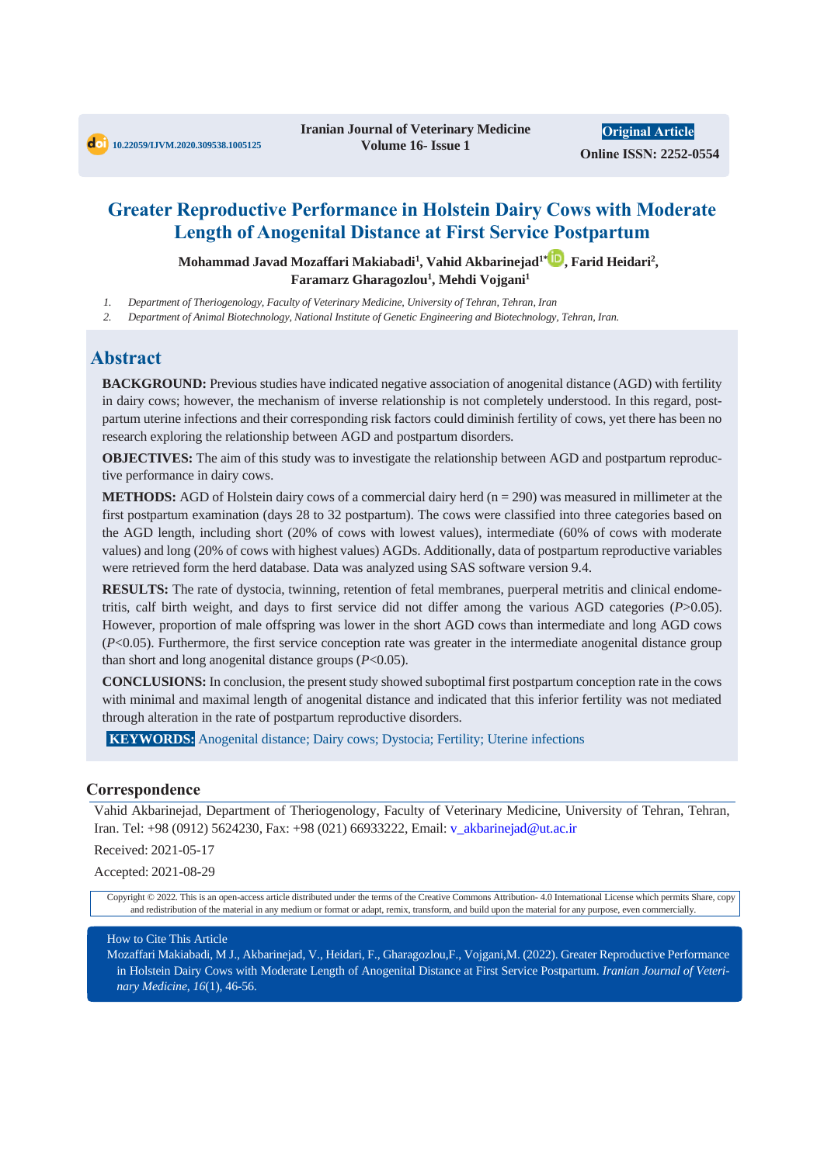## **Greater Reproductive Performance in Holstein Dairy Cows with Moderate Length of Anogenital Distance at First Service Postpartum**

**Mohammad Javad Mozaffari Makiabadi<sup>1</sup> , Vahid Akbarinejad1\* , Farid Heidari<sup>2</sup> , Faramarz Gharagozlou<sup>1</sup> , Mehdi Vojgani<sup>1</sup>**

*1. Department of Theriogenology, Faculty of Veterinary Medicine, University of Tehran, Tehran, Iran*

*2. Department of Animal Biotechnology, National Institute of Genetic Engineering and Biotechnology, Tehran, Iran.*

## **Abstract**

**BACKGROUND:** Previous studies have indicated negative association of anogenital distance (AGD) with fertility in dairy cows; however, the mechanism of inverse relationship is not completely understood. In this regard, postpartum uterine infections and their corresponding risk factors could diminish fertility of cows, yet there has been no research exploring the relationship between AGD and postpartum disorders.

**OBJECTIVES:** The aim of this study was to investigate the relationship between AGD and postpartum reproductive performance in dairy cows.

**METHODS:** AGD of Holstein dairy cows of a commercial dairy herd (n = 290) was measured in millimeter at the first postpartum examination (days 28 to 32 postpartum). The cows were classified into three categories based on the AGD length, including short (20% of cows with lowest values), intermediate (60% of cows with moderate values) and long (20% of cows with highest values) AGDs. Additionally, data of postpartum reproductive variables were retrieved form the herd database. Data was analyzed using SAS software version 9.4.

**RESULTS:** The rate of dystocia, twinning, retention of fetal membranes, puerperal metritis and clinical endometritis, calf birth weight, and days to first service did not differ among the various AGD categories (*P*>0.05). However, proportion of male offspring was lower in the short AGD cows than intermediate and long AGD cows (*P*<0.05). Furthermore, the first service conception rate was greater in the intermediate anogenital distance group than short and long anogenital distance groups (*P*<0.05).

**CONCLUSIONS:** In conclusion, the present study showed suboptimal first postpartum conception rate in the cows with minimal and maximal length of anogenital distance and indicated that this inferior fertility was not mediated through alteration in the rate of postpartum reproductive disorders.

**KEYWORDS:** Anogenital distance; Dairy cows; Dystocia; Fertility; Uterine infections

#### **Correspondence**

Vahid Akbarinejad, Department of Theriogenology, Faculty of Veterinary Medicine, University of Tehran, Tehran, Iran. Tel: +98 (0912) 5624230, Fax: +98 (021) 66933222, Email: v\_akbarinejad@ut.ac.ir

Received: 2021-05-17

Accepted: 2021-08-29

Copyright © 2022. This is an open-access article distributed under the terms of the Creative Commons Attribution- 4.0 International License which permits Share, copy and redistribution of the material in any medium or format or adapt, remix, transform, and build upon the material for any purpose, even commercially.

#### How to Cite This Article

Mozaffari Makiabadi, M J., Akbarinejad, V., Heidari, F., Gharagozlou,F., Vojgani,M. (2022). Greater Reproductive Performance in Holstein Dairy Cows with Moderate Length of Anogenital Distance at First Service Postpartum. *Iranian Journal of Veterinary Medicine*, *16*(1), 46-56.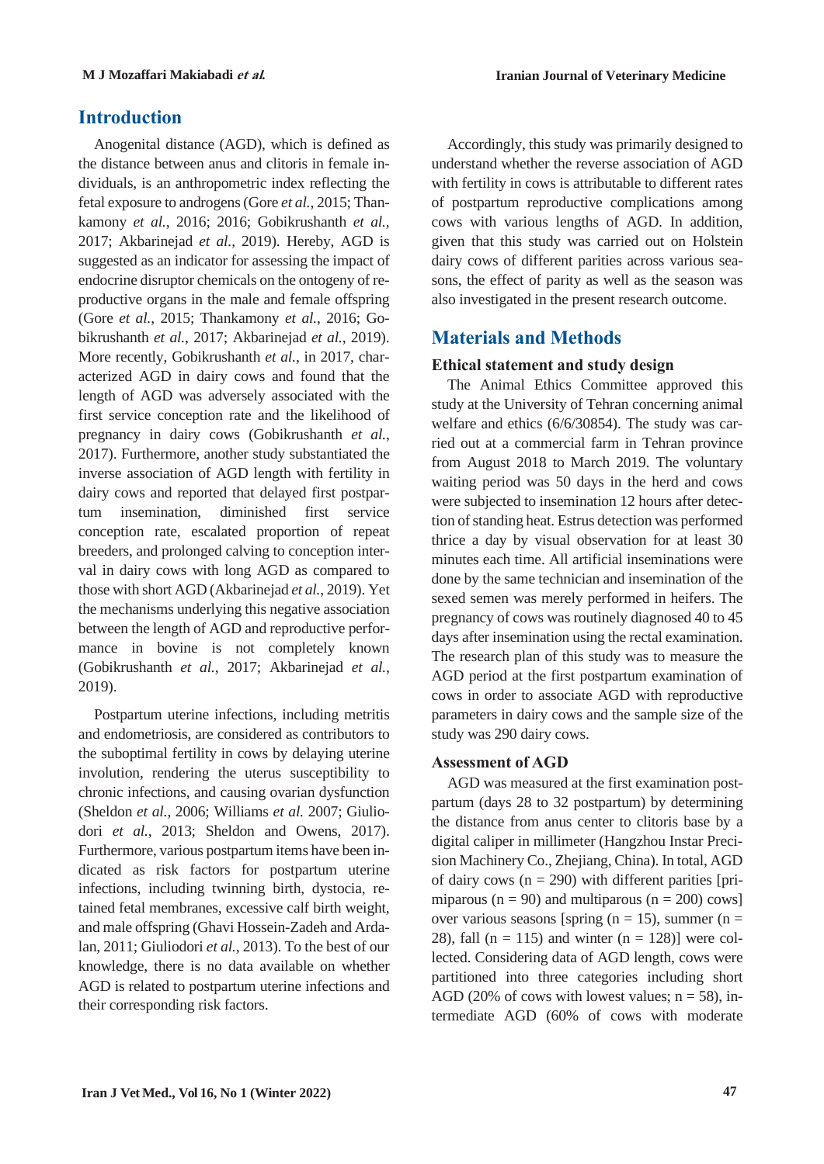## **Introduction**

Anogenital distance (AGD), which is defined as the distance between anus and clitoris in female individuals, is an anthropometric index reflecting the fetal exposure to androgens(Gore *et al.*, 2015; Thankamony *et al.*, 2016; 2016; Gobikrushanth *et al.*, 2017; Akbarinejad *et al.*, 2019). Hereby, AGD is suggested as an indicator for assessing the impact of endocrine disruptor chemicals on the ontogeny of reproductive organs in the male and female offspring (Gore *et al.*, 2015; Thankamony *et al.*, 2016; Gobikrushanth *et al.*, 2017; Akbarinejad *et al.*, 2019). More recently, Gobikrushanth *et al.*, in 2017, characterized AGD in dairy cows and found that the length of AGD was adversely associated with the first service conception rate and the likelihood of pregnancy in dairy cows (Gobikrushanth *et al.*, 2017). Furthermore, another study substantiated the inverse association of AGD length with fertility in dairy cows and reported that delayed first postpartum insemination, diminished first service conception rate, escalated proportion of repeat breeders, and prolonged calving to conception interval in dairy cows with long AGD as compared to those with short AGD (Akbarinejad *et al.*, 2019). Yet the mechanisms underlying this negative association between the length of AGD and reproductive performance in bovine is not completely known (Gobikrushanth *et al.*, 2017; Akbarinejad *et al.*, 2019).

Postpartum uterine infections, including metritis and endometriosis, are considered as contributors to the suboptimal fertility in cows by delaying uterine involution, rendering the uterus susceptibility to chronic infections, and causing ovarian dysfunction (Sheldon *et al.*, 2006; Williams *et al.* 2007; Giuliodori *et al.*, 2013; Sheldon and Owens, 2017). Furthermore, various postpartum items have been indicated as risk factors for postpartum uterine infections, including twinning birth, dystocia, retained fetal membranes, excessive calf birth weight, and male offspring (Ghavi Hossein-Zadeh and Ardalan, 2011; Giuliodori *et al.*, 2013). To the best of our knowledge, there is no data available on whether AGD is related to postpartum uterine infections and their corresponding risk factors.

Accordingly, this study was primarily designed to understand whether the reverse association of AGD with fertility in cows is attributable to different rates of postpartum reproductive complications among cows with various lengths of AGD. In addition, given that this study was carried out on Holstein dairy cows of different parities across various seasons, the effect of parity as well as the season was also investigated in the present research outcome.

## **Materials and Methods**

## **Ethical statement and study design**

The Animal Ethics Committee approved this study at the University of Tehran concerning animal welfare and ethics (6/6/30854). The study was carried out at a commercial farm in Tehran province from August 2018 to March 2019. The voluntary waiting period was 50 days in the herd and cows were subjected to insemination 12 hours after detection of standing heat. Estrus detection was performed thrice a day by visual observation for at least 30 minutes each time. All artificial inseminations were done by the same technician and insemination of the sexed semen was merely performed in heifers. The pregnancy of cows was routinely diagnosed 40 to 45 days after insemination using the rectal examination. The research plan of this study was to measure the AGD period at the first postpartum examination of cows in order to associate AGD with reproductive parameters in dairy cows and the sample size of the study was 290 dairy cows.

## **Assessment of AGD**

AGD was measured at the first examination postpartum (days 28 to 32 postpartum) by determining the distance from anus center to clitoris base by a digital caliper in millimeter (Hangzhou Instar Precision Machinery Co., Zhejiang, China). In total, AGD of dairy cows ( $n = 290$ ) with different parities [primiparous ( $n = 90$ ) and multiparous ( $n = 200$ ) cows] over various seasons [spring ( $n = 15$ ), summer ( $n = 15$ ) 28), fall (n = 115) and winter (n = 128)] were collected. Considering data of AGD length, cows were partitioned into three categories including short AGD (20% of cows with lowest values;  $n = 58$ ), intermediate AGD (60% of cows with moderate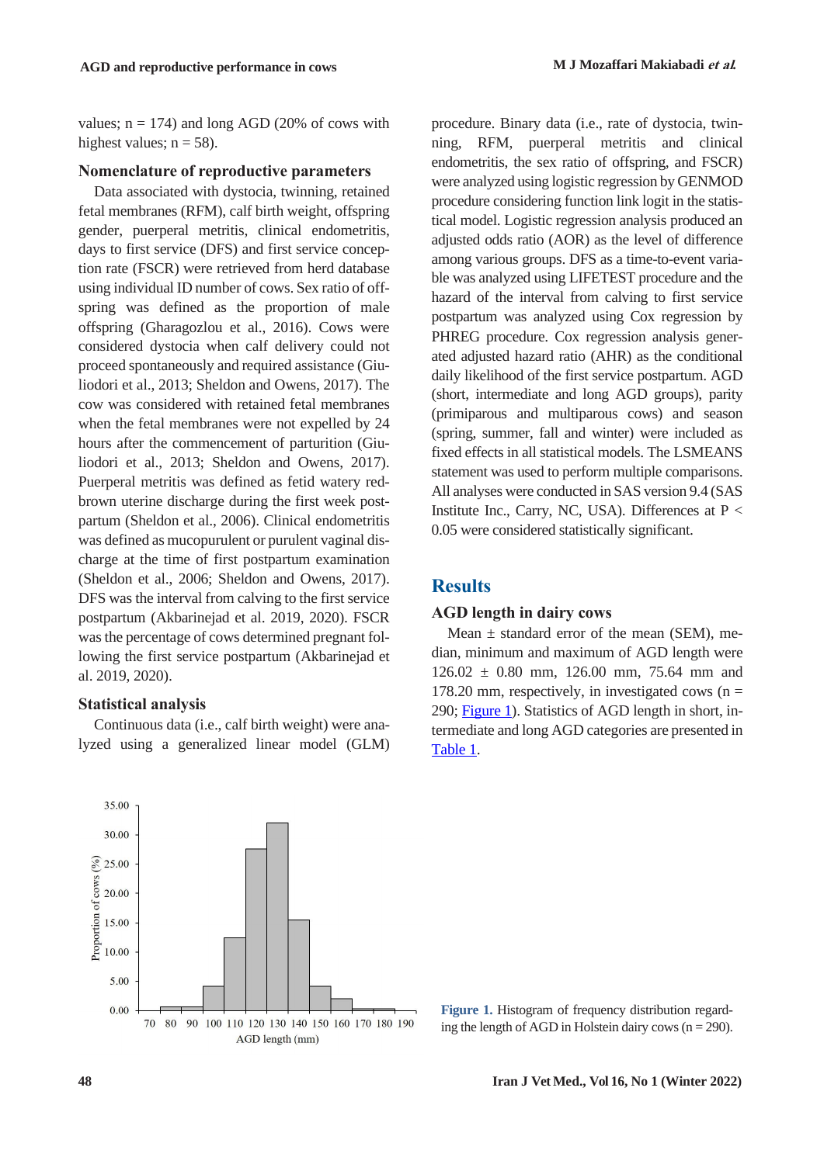values;  $n = 174$ ) and long AGD (20% of cows with highest values;  $n = 58$ ).

#### **Nomenclature of reproductive parameters**

Data associated with dystocia, twinning, retained fetal membranes (RFM), calf birth weight, offspring gender, puerperal metritis, clinical endometritis, days to first service (DFS) and first service conception rate (FSCR) were retrieved from herd database using individual ID number of cows. Sex ratio of offspring was defined as the proportion of male offspring (Gharagozlou et al., 2016). Cows were considered dystocia when calf delivery could not proceed spontaneously and required assistance (Giuliodori et al., 2013; Sheldon and Owens, 2017). The cow was considered with retained fetal membranes when the fetal membranes were not expelled by 24 hours after the commencement of parturition (Giuliodori et al., 2013; Sheldon and Owens, 2017). Puerperal metritis was defined as fetid watery redbrown uterine discharge during the first week postpartum (Sheldon et al., 2006). Clinical endometritis was defined as mucopurulent or purulent vaginal discharge at the time of first postpartum examination (Sheldon et al., 2006; Sheldon and Owens, 2017). DFS was the interval from calving to the first service postpartum (Akbarinejad et al. 2019, 2020). FSCR wasthe percentage of cows determined pregnant following the first service postpartum (Akbarinejad et al. 2019, 2020).

#### **Statistical analysis**

Continuous data (i.e., calf birth weight) were analyzed using a generalized linear model (GLM) procedure. Binary data (i.e., rate of dystocia, twinning, RFM, puerperal metritis and clinical endometritis, the sex ratio of offspring, and FSCR) were analyzed using logistic regression by GENMOD procedure considering function link logit in the statistical model. Logistic regression analysis produced an adjusted odds ratio (AOR) as the level of difference among various groups. DFS as a time-to-event variable was analyzed using LIFETEST procedure and the hazard of the interval from calving to first service postpartum was analyzed using Cox regression by PHREG procedure. Cox regression analysis generated adjusted hazard ratio (AHR) as the conditional daily likelihood of the first service postpartum. AGD (short, intermediate and long AGD groups), parity (primiparous and multiparous cows) and season (spring, summer, fall and winter) were included as fixed effects in all statistical models. The LSMEANS statement was used to perform multiple comparisons. All analyses were conducted in SAS version 9.4 (SAS Institute Inc., Carry, NC, USA). Differences at  $P <$ 0.05 were considered statistically significant.

### **Results**

### **AGD length in dairy cows**

Mean  $\pm$  standard error of the mean (SEM), median, minimum and maximum of AGD length were 126.02 ± 0.80 mm, 126.00 mm, 75.64 mm and 178.20 mm, respectively, in investigated cows  $(n =$ 290; Figure 1). Statistics of AGD length in short, intermediate and long AGD categories are presented in [Table](#page-3-0) 1.



**Figure 1.** Histogram of frequency distribution regarding the length of AGD in Holstein dairy cows ( $n = 290$ ).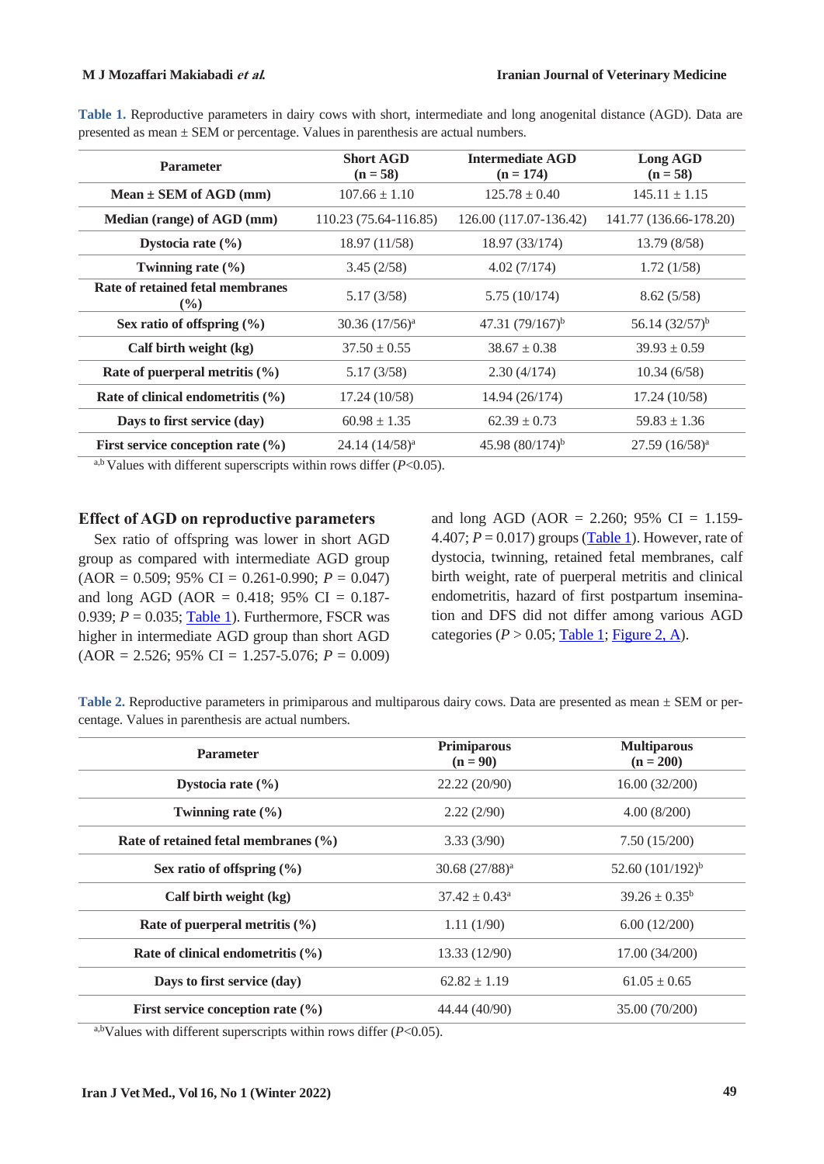| <b>Parameter</b>                                  | <b>Short AGD</b><br>$(n = 58)$ | <b>Intermediate AGD</b><br>$(n = 174)$ | Long AGD<br>$(n = 58)$ |
|---------------------------------------------------|--------------------------------|----------------------------------------|------------------------|
| Mean $\pm$ SEM of AGD (mm)                        | $107.66 \pm 1.10$              | $125.78 \pm 0.40$                      | $145.11 \pm 1.15$      |
| Median (range) of AGD (mm)                        | 110.23 (75.64-116.85)          | 126.00 (117.07-136.42)                 | 141.77 (136.66-178.20) |
| Dystocia rate $(\% )$                             | 18.97 (11/58)                  | 18.97 (33/174)                         | 13.79 (8/58)           |
| Twinning rate $(\% )$                             | 3.45(2/58)                     | 4.02(7/174)                            | 1.72(1/58)             |
| Rate of retained fetal membranes<br>$\frac{9}{6}$ | 5.17(3/58)                     | 5.75(10/174)                           | 8.62(5/58)             |
| Sex ratio of offspring $(\% )$                    | $30.36$ $(17/56)^a$            | 47.31 $(79/167)^{b}$                   | 56.14 $(32/57)^{b}$    |
| Calf birth weight (kg)                            | $37.50 \pm 0.55$               | $38.67 \pm 0.38$                       | $39.93 \pm 0.59$       |
| Rate of puerperal metritis $(\% )$                | 5.17(3/58)                     | 2.30(4/174)                            | 10.34(6/58)            |
| Rate of clinical endometritis $(\% )$             | 17.24 (10/58)                  | 14.94 (26/174)                         | 17.24 (10/58)          |
| Days to first service (day)                       | $60.98 \pm 1.35$               | $62.39 \pm 0.73$                       | $59.83 \pm 1.36$       |
| First service conception rate $(\% )$             | $24.14(14/58)^a$               | 45.98 $(80/174)^b$                     | $27.59~(16/58)^a$      |

<span id="page-3-0"></span>**Table 1.** Reproductive parameters in dairy cows with short, intermediate and long anogenital distance (AGD). Data are presented as mean ± SEM or percentage. Values in parenthesis are actual numbers.

<sup>a,b</sup> Values with different superscripts within rows differ  $(P<0.05)$ .

#### **Effect of AGD on reproductive parameters**

Sex ratio of offspring was lower in short AGD group as compared with intermediate AGD group (AOR = 0.509; 95% CI = 0.261-0.990; *P* = 0.047) and long AGD (AOR =  $0.418$ ; 95% CI =  $0.187$ -0.939;  $P = 0.035$ ; [Table](#page-3-0) 1). Furthermore, FSCR was higher in intermediate AGD group than short AGD  $(AOR = 2.526; 95\% \text{ CI} = 1.257-5.076; P = 0.009)$  and long AGD (AOR = 2.260; 95% CI = 1.159-4.407;  $P = 0.017$ ) groups [\(Table](#page-3-0) 1). However, rate of dystocia, twinning, retained fetal membranes, calf birth weight, rate of puerperal metritis and clinical endometritis, hazard of first postpartum insemination and DFS did not differ among various AGD categories ( $P > 0.05$ ; [Table](#page-3-0) 1; [Figure](#page-4-0) 2, A).

<span id="page-3-1"></span>

|  | Table 2. Reproductive parameters in primiparous and multiparous dairy cows. Data are presented as mean $\pm$ SEM or per- |  |  |  |  |  |
|--|--------------------------------------------------------------------------------------------------------------------------|--|--|--|--|--|
|  | centage. Values in parenthesis are actual numbers.                                                                       |  |  |  |  |  |

| <b>Parameter</b>                         | Primiparous<br>$(n = 90)$ | <b>Multiparous</b><br>$(n = 200)$ |
|------------------------------------------|---------------------------|-----------------------------------|
| Dystocia rate $(\% )$                    | 22.22 (20/90)             | 16.00 (32/200)                    |
| Twinning rate $(\% )$                    | 2.22(2/90)                | 4.00(8/200)                       |
| Rate of retained fetal membranes $(\% )$ | 3.33(3/90)                | 7.50(15/200)                      |
| Sex ratio of offspring $(\% )$           | $30.68 (27/88)^a$         | 52.60 $(101/192)^{b}$             |
| Calf birth weight (kg)                   | $37.42 \pm 0.43^{\circ}$  | $39.26 \pm 0.35^b$                |
| Rate of puerperal metritis $(\%$         | 1.11(1/90)                | 6.00(12/200)                      |
| Rate of clinical endometritis $(\% )$    | 13.33 (12/90)             | 17.00 (34/200)                    |
| Days to first service (day)              | $62.82 \pm 1.19$          | $61.05 \pm 0.65$                  |
| First service conception rate $(\% )$    | 44.44 (40/90)             | 35.00 (70/200)                    |

a,bValues with different superscripts within rows differ (*P*<0.05).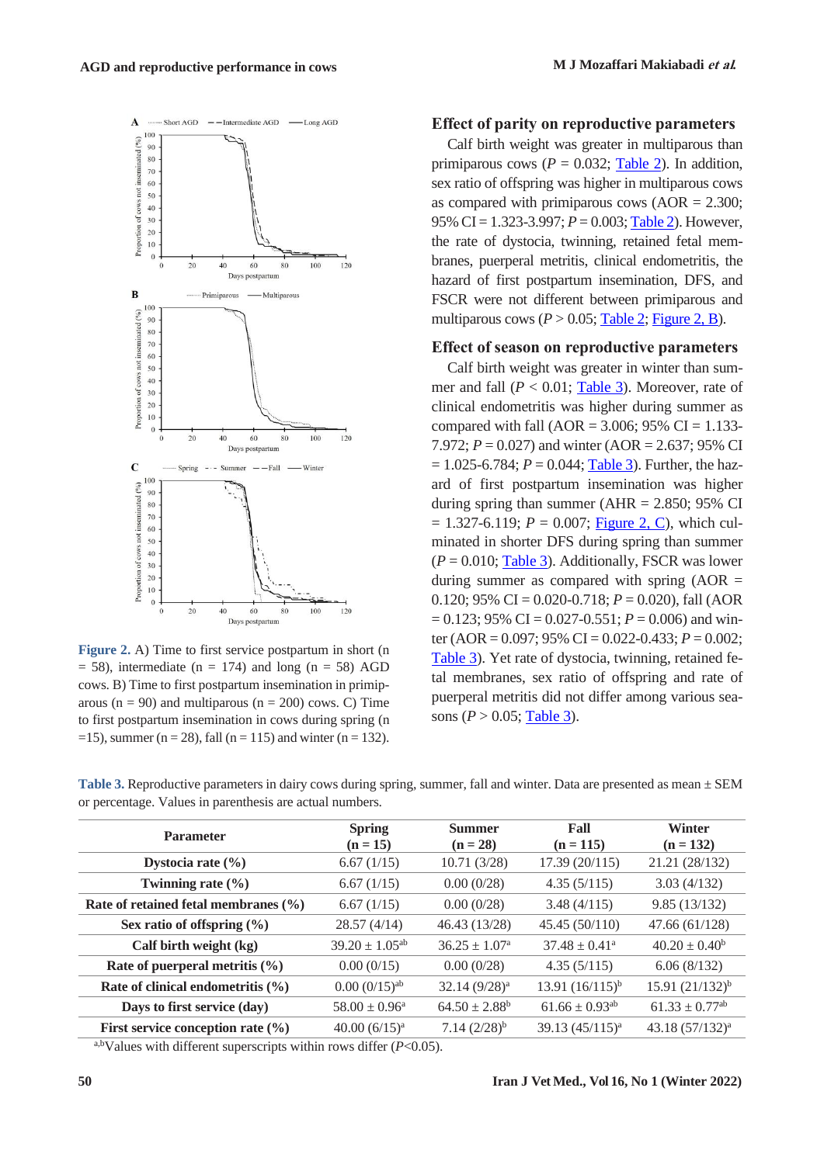

<span id="page-4-0"></span>**Figure 2.** A) Time to first service postpartum in short (n  $= 58$ ), intermediate (n  $= 174$ ) and long (n  $= 58$ ) AGD cows. B) Time to first postpartum insemination in primiparous ( $n = 90$ ) and multiparous ( $n = 200$ ) cows. C) Time to first postpartum insemination in cows during spring (n =15), summer ( $n = 28$ ), fall ( $n = 115$ ) and winter ( $n = 132$ ).

#### **Effect of parity on reproductive parameters**

Calf birth weight was greater in multiparous than primiparous cows ( $P = 0.032$ ; [Table](#page-3-1) 2). In addition, sex ratio of offspring was higher in multiparous cows as compared with primiparous cows  $(AOR = 2.300)$ ; 95% CI = 1.323-3.997; *P* = 0.003; [Table](#page-3-1) 2). However, the rate of dystocia, twinning, retained fetal membranes, puerperal metritis, clinical endometritis, the hazard of first postpartum insemination, DFS, and FSCR were not different between primiparous and multiparous cows  $(P > 0.05$ ; [Table](#page-3-1) 2; [Figure](#page-4-0) 2, B).

#### **Effect of season on reproductive parameters**

Calf birth weight was greater in winter than summer and fall  $(P < 0.01$ ; [Table](#page-4-1) 3). Moreover, rate of clinical endometritis was higher during summer as compared with fall (AOR =  $3.006$ ; 95% CI = 1.133-7.972;  $P = 0.027$ ) and winter (AOR = 2.637; 95% CI  $= 1.025 - 6.784$ ;  $P = 0.044$ ; [Table](#page-4-1) 3). Further, the hazard of first postpartum insemination was higher during spring than summer ( $AHR = 2.850$ ; 95% CI  $= 1.327 - 6.119$ ;  $P = 0.007$ ; [Figure](#page-4-0) 2, C), which culminated in shorter DFS during spring than summer  $(P = 0.010;$  [Table](#page-4-1) 3). Additionally, FSCR was lower during summer as compared with spring  $(AOR =$ 0.120; 95% CI =  $0.020 - 0.718$ ;  $P = 0.020$ ), fall (AOR  $= 0.123$ ; 95% CI = 0.027-0.551; *P* = 0.006) and winter (AOR = 0.097; 95% CI = 0.022-0.433; *P* = 0.002; [Table](#page-4-1) 3). Yet rate of dystocia, twinning, retained fetal membranes, sex ratio of offspring and rate of puerperal metritis did not differ among various seasons ( $P > 0.05$ ; [Table](#page-4-1) 3).

| <b>Parameter</b>                         | <b>Spring</b><br>$(n = 15)$ | <b>Summer</b><br>$(n = 28)$ | Fall<br>$(n = 115)$            | <b>Winter</b><br>$(n = 132)$   |
|------------------------------------------|-----------------------------|-----------------------------|--------------------------------|--------------------------------|
| Dystocia rate $(\% )$                    | 6.67(1/15)                  | 10.71(3/28)                 | 17.39 (20/115)                 | 21.21 (28/132)                 |
| Twinning rate $(\% )$                    | 6.67(1/15)                  | 0.00(0/28)                  | 4.35(5/115)                    | 3.03(4/132)                    |
| Rate of retained fetal membranes $(\% )$ | 6.67(1/15)                  | 0.00(0/28)                  | 3.48(4/115)                    | 9.85(13/132)                   |
| Sex ratio of offspring $(\% )$           | 28.57(4/14)                 | 46.43 (13/28)               | 45.45 (50/110)                 | 47.66 (61/128)                 |
| Calf birth weight (kg)                   | $39.20 \pm 1.05^{ab}$       | $36.25 \pm 1.07^{\circ}$    | $37.48 \pm 0.41^{\circ}$       | $40.20 \pm 0.40^b$             |
| Rate of puerperal metritis (%)           | 0.00(0/15)                  | 0.00(0/28)                  | 4.35(5/115)                    | 6.06(8/132)                    |
| Rate of clinical endometritis $(\% )$    | $0.00~(0/15)$ <sup>ab</sup> | $32.14 (9/28)^a$            | 13.91 $(16/115)^b$             | $15.91 (21/132)^{b}$           |
| Days to first service (day)              | $58.00 \pm 0.96^a$          | $64.50 \pm 2.88^b$          | $61.66 \pm 0.93$ <sup>ab</sup> | $61.33 \pm 0.77$ <sup>ab</sup> |
| First service conception rate $(\% )$    | 40.00 $(6/15)^a$            | $7.14~(2/28)^{b}$           | 39.13 (45/115) <sup>a</sup>    | 43.18 (57/132) <sup>a</sup>    |
|                                          |                             |                             |                                |                                |

<span id="page-4-1"></span>**Table 3.** Reproductive parameters in dairy cows during spring, summer, fall and winter. Data are presented as mean ± SEM or percentage. Values in parenthesis are actual numbers.

a,bValues with different superscripts within rows differ (*P*<0.05).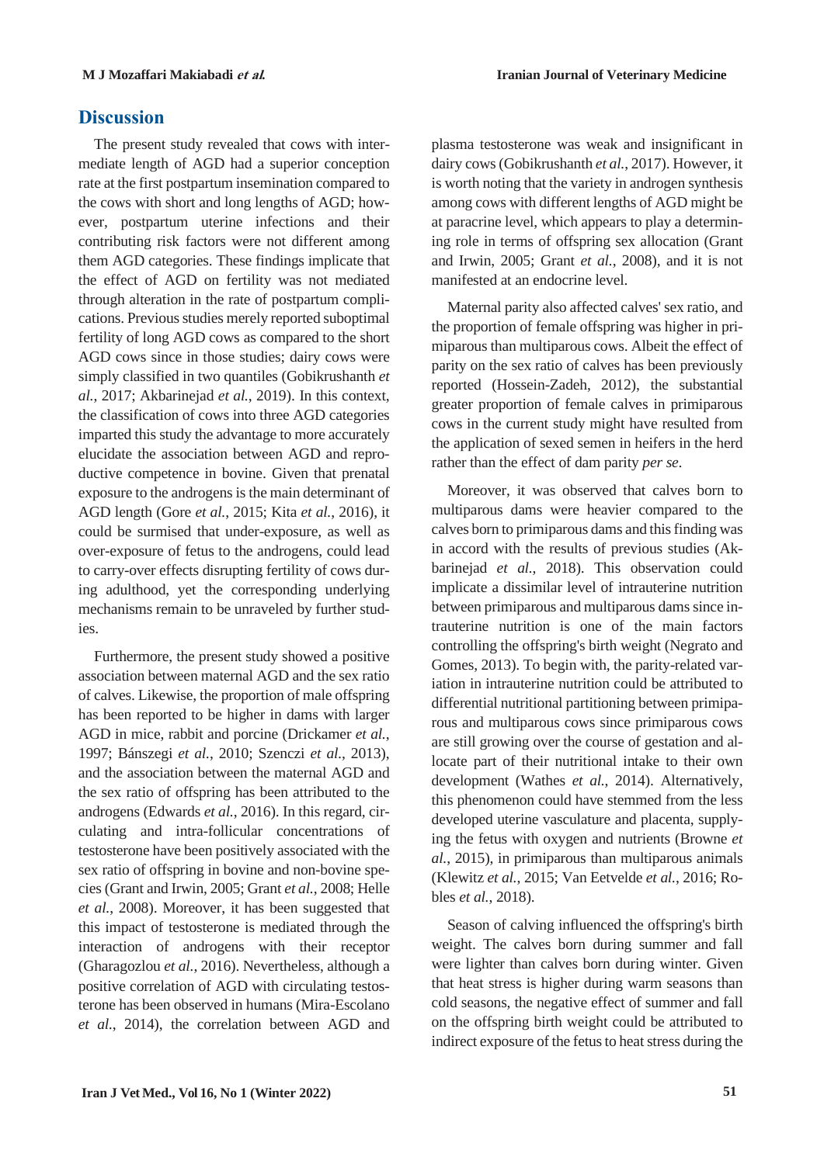## **Discussion**

The present study revealed that cows with intermediate length of AGD had a superior conception rate at the first postpartum insemination compared to the cows with short and long lengths of AGD; however, postpartum uterine infections and their contributing risk factors were not different among them AGD categories. These findings implicate that the effect of AGD on fertility was not mediated through alteration in the rate of postpartum complications. Previous studies merely reported suboptimal fertility of long AGD cows as compared to the short AGD cows since in those studies; dairy cows were simply classified in two quantiles (Gobikrushanth *et al.*, 2017; Akbarinejad *et al.*, 2019). In this context, the classification of cows into three AGD categories imparted this study the advantage to more accurately elucidate the association between AGD and reproductive competence in bovine. Given that prenatal exposure to the androgens is the main determinant of AGD length (Gore *et al.*, 2015; Kita *et al.*, 2016), it could be surmised that under-exposure, as well as over-exposure of fetus to the androgens, could lead to carry-over effects disrupting fertility of cows during adulthood, yet the corresponding underlying mechanisms remain to be unraveled by further studies.

Furthermore, the present study showed a positive association between maternal AGD and the sex ratio of calves. Likewise, the proportion of male offspring has been reported to be higher in dams with larger AGD in mice, rabbit and porcine (Drickamer *et al.*, 1997; Bánszegi *et al.*, 2010; Szenczi *et al.*, 2013), and the association between the maternal AGD and the sex ratio of offspring has been attributed to the androgens (Edwards *et al.*, 2016). In this regard, circulating and intra-follicular concentrations of testosterone have been positively associated with the sex ratio of offspring in bovine and non-bovine species (Grant and Irwin, 2005; Grant *et al.*, 2008; Helle *et al.*, 2008). Moreover, it has been suggested that this impact of testosterone is mediated through the interaction of androgens with their receptor (Gharagozlou *et al.*, 2016). Nevertheless, although a positive correlation of AGD with circulating testosterone has been observed in humans (Mira-Escolano *et al.*, 2014), the correlation between AGD and

plasma testosterone was weak and insignificant in dairy cows(Gobikrushanth *et al.*, 2017). However, it is worth noting that the variety in androgen synthesis among cows with different lengths of AGD might be at paracrine level, which appears to play a determining role in terms of offspring sex allocation (Grant and Irwin, 2005; Grant *et al.*, 2008), and it is not manifested at an endocrine level.

Maternal parity also affected calves' sex ratio, and the proportion of female offspring was higher in primiparous than multiparous cows. Albeit the effect of parity on the sex ratio of calves has been previously reported (Hossein-Zadeh, 2012), the substantial greater proportion of female calves in primiparous cows in the current study might have resulted from the application of sexed semen in heifers in the herd rather than the effect of dam parity *per se*.

Moreover, it was observed that calves born to multiparous dams were heavier compared to the calves born to primiparous dams and this finding was in accord with the results of previous studies (Akbarinejad *et al.*, 2018). This observation could implicate a dissimilar level of intrauterine nutrition between primiparous and multiparous dams since intrauterine nutrition is one of the main factors controlling the offspring's birth weight (Negrato and Gomes, 2013). To begin with, the parity-related variation in intrauterine nutrition could be attributed to differential nutritional partitioning between primiparous and multiparous cows since primiparous cows are still growing over the course of gestation and allocate part of their nutritional intake to their own development (Wathes *et al.*, 2014). Alternatively, this phenomenon could have stemmed from the less developed uterine vasculature and placenta, supplying the fetus with oxygen and nutrients (Browne *et al.*, 2015), in primiparous than multiparous animals (Klewitz *et al.*, 2015; Van Eetvelde *et al.*, 2016; Robles *et al.*, 2018).

Season of calving influenced the offspring's birth weight. The calves born during summer and fall were lighter than calves born during winter. Given that heat stress is higher during warm seasons than cold seasons, the negative effect of summer and fall on the offspring birth weight could be attributed to indirect exposure of the fetus to heat stress during the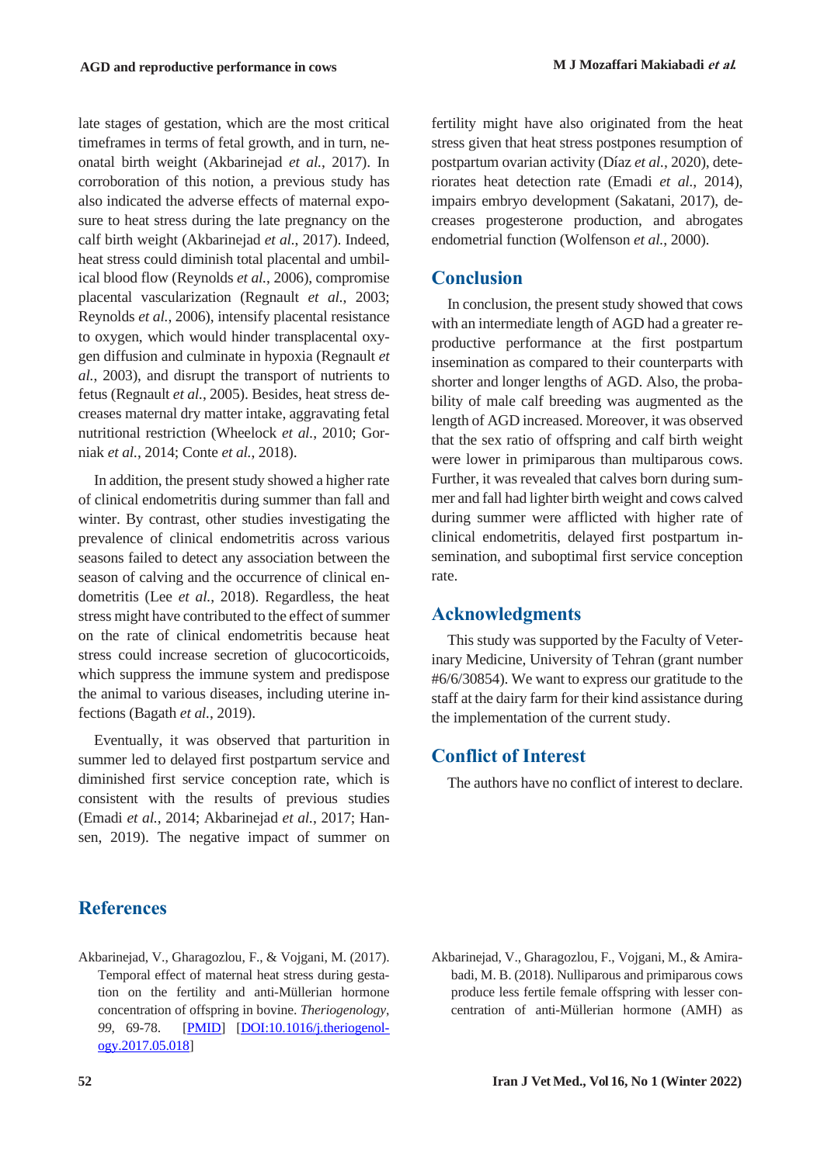late stages of gestation, which are the most critical timeframes in terms of fetal growth, and in turn, neonatal birth weight (Akbarinejad *et al.*, 2017). In corroboration of this notion, a previous study has also indicated the adverse effects of maternal exposure to heat stress during the late pregnancy on the calf birth weight (Akbarinejad *et al.*, 2017). Indeed, heat stress could diminish total placental and umbilical blood flow (Reynolds *et al.*, 2006), compromise placental vascularization (Regnault *et al.*, 2003; Reynolds *et al.*, 2006), intensify placental resistance to oxygen, which would hinder transplacental oxygen diffusion and culminate in hypoxia (Regnault *et al.*, 2003), and disrupt the transport of nutrients to fetus (Regnault *et al.*, 2005). Besides, heat stress decreases maternal dry matter intake, aggravating fetal nutritional restriction (Wheelock *et al.*, 2010; Gorniak *et al.*, 2014; Conte *et al.*, 2018).

In addition, the present study showed a higher rate of clinical endometritis during summer than fall and winter. By contrast, other studies investigating the prevalence of clinical endometritis across various seasons failed to detect any association between the season of calving and the occurrence of clinical endometritis (Lee *et al.*, 2018). Regardless, the heat stress might have contributed to the effect of summer on the rate of clinical endometritis because heat stress could increase secretion of glucocorticoids, which suppress the immune system and predispose the animal to various diseases, including uterine infections (Bagath *et al.*, 2019).

Eventually, it was observed that parturition in summer led to delayed first postpartum service and diminished first service conception rate, which is consistent with the results of previous studies (Emadi *et al.*, 2014; Akbarinejad *et al.*, 2017; Hansen, 2019). The negative impact of summer on

fertility might have also originated from the heat stress given that heat stress postpones resumption of postpartum ovarian activity (Díaz *et al.*, 2020), deteriorates heat detection rate (Emadi *et al.*, 2014), impairs embryo development (Sakatani, 2017), decreases progesterone production, and abrogates endometrial function (Wolfenson *et al.*, 2000).

## **Conclusion**

In conclusion, the present study showed that cows with an intermediate length of AGD had a greater reproductive performance at the first postpartum insemination as compared to their counterparts with shorter and longer lengths of AGD. Also, the probability of male calf breeding was augmented as the length of AGD increased. Moreover, it was observed that the sex ratio of offspring and calf birth weight were lower in primiparous than multiparous cows. Further, it was revealed that calves born during summer and fall had lighter birth weight and cows calved during summer were afflicted with higher rate of clinical endometritis, delayed first postpartum insemination, and suboptimal first service conception rate.

## **Acknowledgments**

This study was supported by the Faculty of Veterinary Medicine, University of Tehran (grant number #6/6/30854). We want to express our gratitude to the staff at the dairy farm for their kind assistance during the implementation of the current study.

## **Conflict of Interest**

The authors have no conflict of interest to declare.

## **References**

- Akbarinejad, V., Gharagozlou, F., & Vojgani, M. (2017). Temporal effect of maternal heat stress during gestation on the fertility and anti-Müllerian hormone concentration of offspring in bovine. *Theriogenology*, *99*, 69-78. [PMID] [DOI:10.1016/j.theriogenology.2017.05.018]
- Akbarinejad, V., Gharagozlou, F., Vojgani, M., & Amirabadi, M. B. (2018). Nulliparous and primiparous cows produce less fertile female offspring with lesser concentration of anti-Müllerian hormone (AMH) as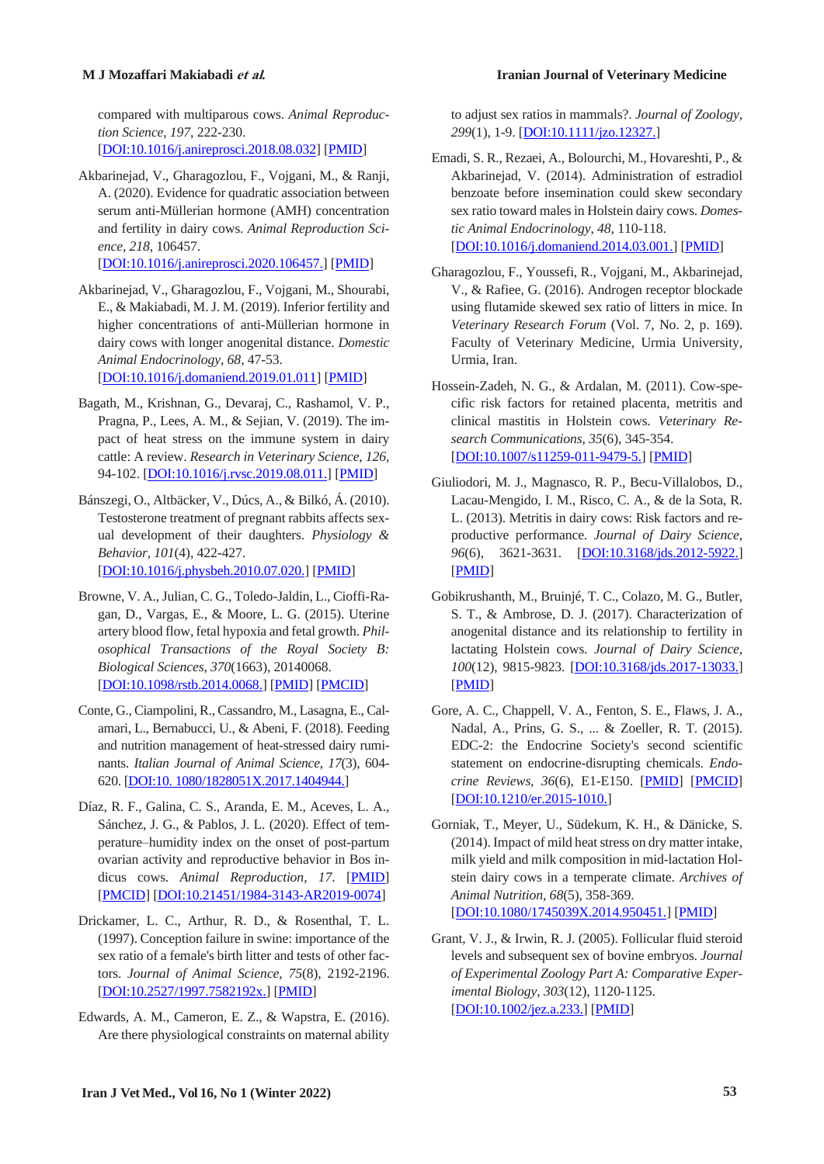compared with multiparous cows. *Animal Reproduction Science*, *197*, 222-230.

[DOI:10.1016/j.anireprosci.2018.08.032] [PMID]

Akbarinejad, V., Gharagozlou, F., Vojgani, M., & Ranji, A. (2020). Evidence for quadratic association between serum anti-Müllerian hormone (AMH) concentration and fertility in dairy cows. *Animal Reproduction Science*, *218*, 106457.

[DOI:10.1016/j.anireprosci.2020.106457.] [PMID]

- Akbarinejad, V., Gharagozlou, F., Vojgani, M., Shourabi, E., & Makiabadi, M. J. M. (2019). Inferior fertility and higher concentrations of anti-Müllerian hormone in dairy cows with longer anogenital distance. *Domestic Animal Endocrinology*, *68*, 47-53. [DOI:10.1016/j.domaniend.2019.01.011] [PMID]
- Bagath, M., Krishnan, G., Devaraj, C., Rashamol, V. P., Pragna, P., Lees, A. M., & Sejian, V. (2019). The impact of heat stress on the immune system in dairy cattle: A review. *Research in Veterinary Science*, *126*, 94-102. [DOI:10.1016/j.rvsc.2019.08.011.] [PMID]
- Bánszegi, O., Altbäcker, V., Dúcs, A., & Bilkó, Á. (2010). Testosterone treatment of pregnant rabbits affects sexual development of their daughters. *Physiology & Behavior*, *101*(4), 422-427. [DOI:10.1016/j.physbeh.2010.07.020.] [PMID]
- Browne, V. A., Julian, C. G., Toledo-Jaldin, L., Cioffi-Ragan, D., Vargas, E., & Moore, L. G. (2015). Uterine artery blood flow, fetal hypoxia and fetal growth. *Philosophical Transactions of the Royal Society B: Biological Sciences*, *370*(1663), 20140068. [DOI:10.1098/rstb.2014.0068.] [PMID] [PMCID]
- Conte, G., Ciampolini, R., Cassandro, M., Lasagna, E., Calamari, L., Bernabucci, U., & Abeni, F. (2018). Feeding and nutrition management of heat-stressed dairy ruminants. *Italian Journal of Animal Science*, *17*(3), 604- 620. [DOI:10. 1080/1828051X.2017.1404944.]
- Díaz, R. F., Galina, C. S., Aranda, E. M., Aceves, L. A., Sánchez, J. G., & Pablos, J. L. (2020). Effect of temperature–humidity index on the onset of post-partum ovarian activity and reproductive behavior in Bos indicus cows. *Animal Reproduction*, *17*. [PMID] [PMCID] [DOI:10.21451/1984-3143-AR2019-0074]
- Drickamer, L. C., Arthur, R. D., & Rosenthal, T. L. (1997). Conception failure in swine: importance of the sex ratio of a female's birth litter and tests of other factors. *Journal of Animal Science*, *75*(8), 2192-2196. [DOI:10.2527/1997.7582192x.] [PMID]
- Edwards, A. M., Cameron, E. Z., & Wapstra, E. (2016). Are there physiological constraints on maternal ability

#### **M J Mozaffari Makiabadi et al***.* **Iranian Journal of Veterinary Medicine**

to adjust sex ratios in mammals?. *Journal of Zoology*, *299*(1), 1-9. [DOI:10.1111/jzo.12327.]

- Emadi, S. R., Rezaei, A., Bolourchi, M., Hovareshti, P., & Akbarinejad, V. (2014). Administration of estradiol benzoate before insemination could skew secondary sex ratio toward malesin Holstein dairy cows. *Domestic Animal Endocrinology*, *48*, 110-118. [DOI:10.1016/j.domaniend.2014.03.001.] [PMID]
- Gharagozlou, F., Youssefi, R., Vojgani, M., Akbarinejad, V., & Rafiee, G. (2016). Androgen receptor blockade using flutamide skewed sex ratio of litters in mice. In *Veterinary Research Forum* (Vol. 7, No. 2, p. 169). Faculty of Veterinary Medicine, Urmia University, Urmia, Iran.
- Hossein-Zadeh, N. G., & Ardalan, M. (2011). Cow-specific risk factors for retained placenta, metritis and clinical mastitis in Holstein cows. *Veterinary Research Communications*, *35*(6), 345-354. [DOI:10.1007/s11259-011-9479-5.] [PMID]
- Giuliodori, M. J., Magnasco, R. P., Becu-Villalobos, D., Lacau-Mengido, I. M., Risco, C. A., & de la Sota, R. L. (2013). Metritis in dairy cows: Risk factors and reproductive performance. *Journal of Dairy Science*, 96<sup>(6)</sup>, 3621-3631. **[DOI:10.3168/jds.2012-5922.]** [PMID]
- Gobikrushanth, M., Bruinjé, T. C., Colazo, M. G., Butler, S. T., & Ambrose, D. J. (2017). Characterization of anogenital distance and its relationship to fertility in lactating Holstein cows. *Journal of Dairy Science*, *100*(12), 9815-9823. [DOI:10.3168/jds.2017-13033.] [PMID]
- Gore, A. C., Chappell, V. A., Fenton, S. E., Flaws, J. A., Nadal, A., Prins, G. S., ... & Zoeller, R. T. (2015). EDC-2: the Endocrine Society's second scientific statement on endocrine-disrupting chemicals. *Endocrine Reviews*, *36*(6), E1-E150. [PMID] [PMCID] [DOI:10.1210/er.2015-1010.]
- Gorniak, T., Meyer, U., Südekum, K. H., & Dänicke, S. (2014). Impact of mild heat stress on dry matter intake, milk yield and milk composition in mid-lactation Holstein dairy cows in a temperate climate. *Archives of Animal Nutrition*, *68*(5), 358-369. [DOI:10.1080/1745039X.2014.950451.] [PMID]
- Grant, V. J., & Irwin, R. J. (2005). Follicular fluid steroid levels and subsequent sex of bovine embryos. *Journal of Experimental Zoology Part A: Comparative Experimental Biology*, *303*(12), 1120-1125. [DOI:10.1002/jez.a.233.] [PMID]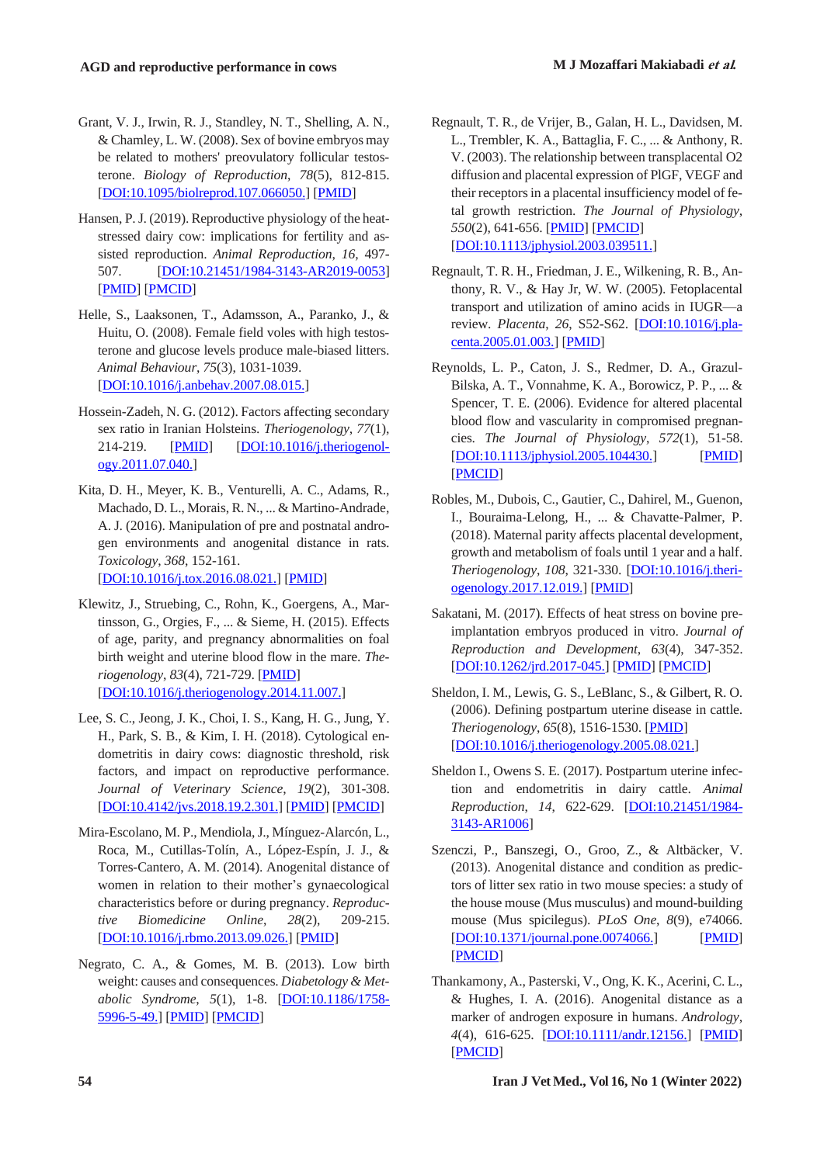- Grant, V. J., Irwin, R. J., Standley, N. T., Shelling, A. N., & Chamley, L. W. (2008). Sex of bovine embryos may be related to mothers' preovulatory follicular testosterone. *Biology of Reproduction*, *78*(5), 812-815. [DOI:10.1095/biolreprod.107.066050.] [PMID]
- Hansen, P.J. (2019). Reproductive physiology of the heatstressed dairy cow: implications for fertility and assisted reproduction. *Animal Reproduction*, *16*, 497- 507. [DOI:10.21451/1984-3143-AR2019-0053] [PMID] [PMCID]
- Helle, S., Laaksonen, T., Adamsson, A., Paranko, J., & Huitu, O. (2008). Female field voles with high testosterone and glucose levels produce male-biased litters. *Animal Behaviour*, *75*(3), 1031-1039. [DOI:10.1016/j.anbehav.2007.08.015.]
- Hossein-Zadeh, N. G. (2012). Factors affecting secondary sex ratio in Iranian Holsteins. *Theriogenology*, *77*(1), 214-219. [PMID] [DOI:10.1016/j.theriogenology.2011.07.040.]
- Kita, D. H., Meyer, K. B., Venturelli, A. C., Adams, R., Machado, D. L., Morais, R. N., ... & Martino-Andrade, A. J. (2016). Manipulation of pre and postnatal androgen environments and anogenital distance in rats. *Toxicology*, *368*, 152-161. [DOI:10.1016/j.tox.2016.08.021.] [PMID]
- Klewitz, J., Struebing, C., Rohn, K., Goergens, A., Martinsson, G., Orgies, F., ... & Sieme, H. (2015). Effects of age, parity, and pregnancy abnormalities on foal birth weight and uterine blood flow in the mare. *Theriogenology*, *83*(4), 721-729. [PMID] [DOI:10.1016/j.theriogenology.2014.11.007.]
- Lee, S. C., Jeong, J. K., Choi, I. S., Kang, H. G., Jung, Y. H., Park, S. B., & Kim, I. H. (2018). Cytological endometritis in dairy cows: diagnostic threshold, risk factors, and impact on reproductive performance. *Journal of Veterinary Science*, *19*(2), 301-308. [DOI:10.4142/jvs.2018.19.2.301.] [PMID] [PMCID]
- Mira-Escolano, M. P., Mendiola,J., Mínguez-Alarcón, L., Roca, M., Cutillas-Tolín, A., López-Espín, J. J., & Torres-Cantero, A. M. (2014). Anogenital distance of women in relation to their mother's gynaecological characteristics before or during pregnancy. *Reproductive Biomedicine Online*, *28*(2), 209-215. [DOI:10.1016/j.rbmo.2013.09.026.] [PMID]
- Negrato, C. A., & Gomes, M. B. (2013). Low birth weight: causes and consequences. *Diabetology & Metabolic Syndrome*, *5*(1), 1-8. [DOI:10.1186/1758- 5996-5-49.] [PMID] [PMCID]
- Regnault, T. R., de Vrijer, B., Galan, H. L., Davidsen, M. L., Trembler, K. A., Battaglia, F. C., ... & Anthony, R. V. (2003). The relationship between transplacental O2 diffusion and placental expression of PlGF, VEGF and their receptors in a placental insufficiency model of fetal growth restriction. *The Journal of Physiology*, *550*(2), 641-656. [PMID] [PMCID] [DOI:10.1113/jphysiol.2003.039511.]
- Regnault, T. R. H., Friedman, J. E., Wilkening, R. B., Anthony, R. V., & Hay Jr, W. W. (2005). Fetoplacental transport and utilization of amino acids in IUGR—a review. *Placenta*, *26*, S52-S62. [DOI:10.1016/j.placenta.2005.01.003.] [PMID]
- Reynolds, L. P., Caton, J. S., Redmer, D. A., Grazul‐ Bilska, A. T., Vonnahme, K. A., Borowicz, P. P., ... & Spencer, T. E. (2006). Evidence for altered placental blood flow and vascularity in compromised pregnancies. *The Journal of Physiology*, *572*(1), 51-58. [DOI:10.1113/jphysiol.2005.104430.] [PMID] [PMCID]
- Robles, M., Dubois, C., Gautier, C., Dahirel, M., Guenon, I., Bouraima-Lelong, H., ... & Chavatte-Palmer, P. (2018). Maternal parity affects placental development, growth and metabolism of foals until 1 year and a half. *Theriogenology*, *108*, 321-330. [DOI:10.1016/j.theriogenology.2017.12.019.] [PMID]
- Sakatani, M. (2017). Effects of heat stress on bovine preimplantation embryos produced in vitro. *Journal of Reproduction and Development*, *63*(4), 347-352. [DOI:10.1262/jrd.2017-045.] [PMID] [PMCID]
- Sheldon, I. M., Lewis, G. S., LeBlanc, S., & Gilbert, R. O. (2006). Defining postpartum uterine disease in cattle. *Theriogenology*, *65*(8), 1516-1530. [PMID] [DOI:10.1016/j.theriogenology.2005.08.021.]
- Sheldon I., Owens S. E. (2017). Postpartum uterine infection and endometritis in dairy cattle. *Animal Reproduction*, *14*, 622-629. [DOI:10.21451/1984- 3143-AR1006]
- Szenczi, P., Banszegi, O., Groo, Z., & Altbäcker, V. (2013). Anogenital distance and condition as predictors of litter sex ratio in two mouse species: a study of the house mouse (Mus musculus) and mound-building mouse (Mus spicilegus). *PLoS One*, *8*(9), e74066. [DOI:10.1371/journal.pone.0074066.] [PMID] [PMCID]
- Thankamony, A., Pasterski, V., Ong, K. K., Acerini, C. L., & Hughes, I. A. (2016). Anogenital distance as a marker of androgen exposure in humans. *Andrology*, *4*(4), 616-625. [DOI:10.1111/andr.12156.] [PMID] [PMCID]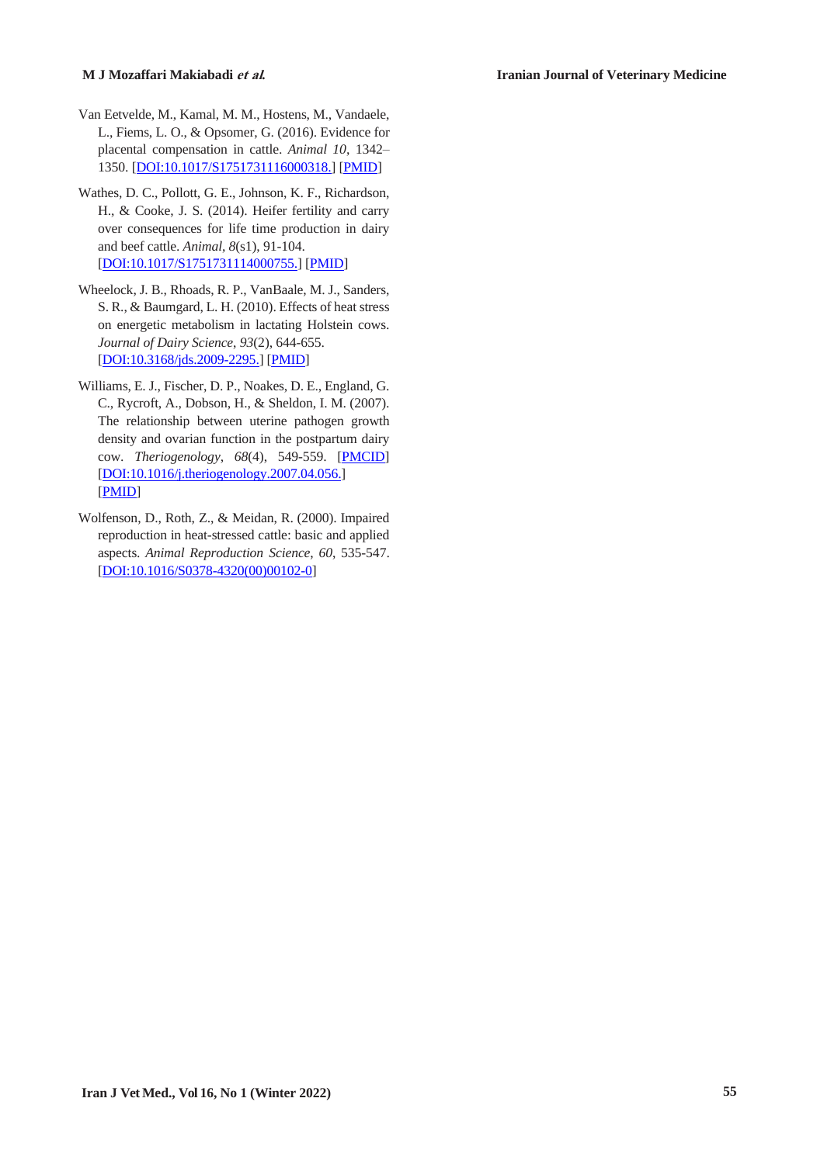- Van Eetvelde, M., Kamal, M. M., Hostens, M., Vandaele, L., Fiems, L. O., & Opsomer, G. (2016). Evidence for placental compensation in cattle. *Animal 10*, 1342– 1350. [DOI:10.1017/S1751731116000318.] [PMID]
- Wathes, D. C., Pollott, G. E., Johnson, K. F., Richardson, H., & Cooke, J. S. (2014). Heifer fertility and carry over consequences for life time production in dairy and beef cattle. *Animal*, *8*(s1), 91-104. [DOI:10.1017/S1751731114000755.] [PMID]
- Wheelock, J. B., Rhoads, R. P., VanBaale, M. J., Sanders, S. R., & Baumgard, L. H. (2010). Effects of heat stress on energetic metabolism in lactating Holstein cows. *Journal of Dairy Science*, *93*(2), 644-655. [DOI:10.3168/jds.2009-2295.] [PMID]
- Williams, E. J., Fischer, D. P., Noakes, D. E., England, G. C., Rycroft, A., Dobson, H., & Sheldon, I. M. (2007). The relationship between uterine pathogen growth density and ovarian function in the postpartum dairy cow. *Theriogenology*, *68*(4), 549-559. [PMCID] [DOI:10.1016/j.theriogenology.2007.04.056.] [PMID]
- Wolfenson, D., Roth, Z., & Meidan, R. (2000). Impaired reproduction in heat-stressed cattle: basic and applied aspects. *Animal Reproduction Science*, *60*, 535-547. [DOI:10.1016/S0378-4320(00)00102-0]